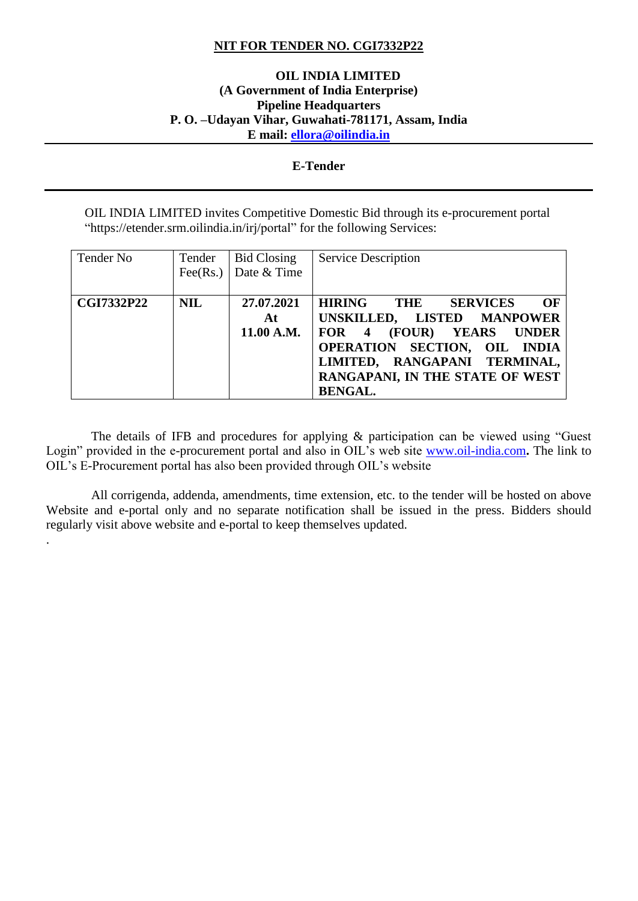## **NIT FOR TENDER NO. CGI7332P22**

## **OIL INDIA LIMITED (A Government of India Enterprise) Pipeline Headquarters P. O. –Udayan Vihar, Guwahati-781171, Assam, India E mail: [ellora@oilindia.in](mailto:ellora@oilindia.in)**

## **E-Tender**

OIL INDIA LIMITED invites Competitive Domestic Bid through its e-procurement portal "https://etender.srm.oilindia.in/irj/portal" for the following Services:

| Tender No         | Tender     | <b>Bid Closing</b><br>Fee(Rs.) Date & Time | <b>Service Description</b>                                                                                                                                                                                                                      |
|-------------------|------------|--------------------------------------------|-------------------------------------------------------------------------------------------------------------------------------------------------------------------------------------------------------------------------------------------------|
| <b>CGI7332P22</b> | <b>NIL</b> | 27.07.2021<br>At<br>11.00 A.M.             | <b>HIRING</b><br>$\Omega$<br>THE<br><b>SERVICES</b><br>UNSKILLED, LISTED MANPOWER<br>(FOUR)<br>FOR 4<br><b>YEARS UNDER</b><br>OPERATION SECTION, OIL INDIA<br>LIMITED, RANGAPANI TERMINAL,<br>RANGAPANI, IN THE STATE OF WEST<br><b>BENGAL.</b> |

 The details of IFB and procedures for applying & participation can be viewed using "Guest Login" provided in the e-procurement portal and also in OIL's web site [www.oil-india.com](http://www.oil-india.com/)**.** The link to OIL's E-Procurement portal has also been provided through OIL's website

 All corrigenda, addenda, amendments, time extension, etc. to the tender will be hosted on above Website and e-portal only and no separate notification shall be issued in the press. Bidders should regularly visit above website and e-portal to keep themselves updated.

.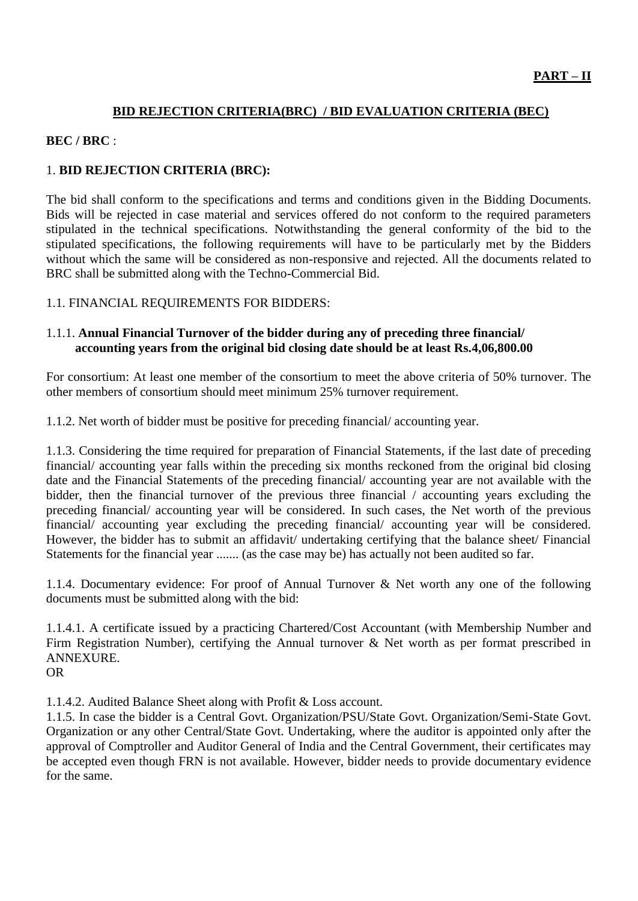## **BID REJECTION CRITERIA(BRC) / BID EVALUATION CRITERIA (BEC)**

## **BEC / BRC** :

## 1. **BID REJECTION CRITERIA (BRC):**

The bid shall conform to the specifications and terms and conditions given in the Bidding Documents. Bids will be rejected in case material and services offered do not conform to the required parameters stipulated in the technical specifications. Notwithstanding the general conformity of the bid to the stipulated specifications, the following requirements will have to be particularly met by the Bidders without which the same will be considered as non-responsive and rejected. All the documents related to BRC shall be submitted along with the Techno-Commercial Bid.

## 1.1. FINANCIAL REQUIREMENTS FOR BIDDERS:

## 1.1.1. **Annual Financial Turnover of the bidder during any of preceding three financial/ accounting years from the original bid closing date should be at least Rs.4,06,800.00**

For consortium: At least one member of the consortium to meet the above criteria of 50% turnover. The other members of consortium should meet minimum 25% turnover requirement.

1.1.2. Net worth of bidder must be positive for preceding financial/ accounting year.

1.1.3. Considering the time required for preparation of Financial Statements, if the last date of preceding financial/ accounting year falls within the preceding six months reckoned from the original bid closing date and the Financial Statements of the preceding financial/ accounting year are not available with the bidder, then the financial turnover of the previous three financial / accounting years excluding the preceding financial/ accounting year will be considered. In such cases, the Net worth of the previous financial/ accounting year excluding the preceding financial/ accounting year will be considered. However, the bidder has to submit an affidavit/ undertaking certifying that the balance sheet/ Financial Statements for the financial year ....... (as the case may be) has actually not been audited so far.

1.1.4. Documentary evidence: For proof of Annual Turnover & Net worth any one of the following documents must be submitted along with the bid:

1.1.4.1. A certificate issued by a practicing Chartered/Cost Accountant (with Membership Number and Firm Registration Number), certifying the Annual turnover & Net worth as per format prescribed in ANNEXURE.

OR

1.1.4.2. Audited Balance Sheet along with Profit & Loss account.

1.1.5. In case the bidder is a Central Govt. Organization/PSU/State Govt. Organization/Semi-State Govt. Organization or any other Central/State Govt. Undertaking, where the auditor is appointed only after the approval of Comptroller and Auditor General of India and the Central Government, their certificates may be accepted even though FRN is not available. However, bidder needs to provide documentary evidence for the same.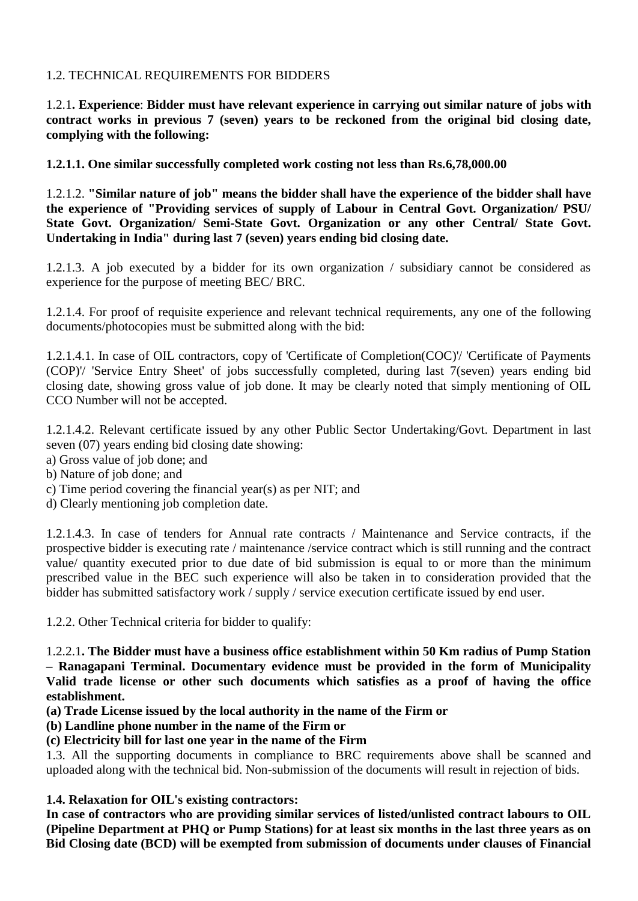# 1.2. TECHNICAL REQUIREMENTS FOR BIDDERS

1.2.1**. Experience**: **Bidder must have relevant experience in carrying out similar nature of jobs with contract works in previous 7 (seven) years to be reckoned from the original bid closing date, complying with the following:**

# **1.2.1.1. One similar successfully completed work costing not less than Rs.6,78,000.00**

1.2.1.2. **"Similar nature of job" means the bidder shall have the experience of the bidder shall have the experience of "Providing services of supply of Labour in Central Govt. Organization/ PSU/ State Govt. Organization/ Semi-State Govt. Organization or any other Central/ State Govt. Undertaking in India" during last 7 (seven) years ending bid closing date.**

1.2.1.3. A job executed by a bidder for its own organization / subsidiary cannot be considered as experience for the purpose of meeting BEC/ BRC.

1.2.1.4. For proof of requisite experience and relevant technical requirements, any one of the following documents/photocopies must be submitted along with the bid:

1.2.1.4.1. In case of OIL contractors, copy of 'Certificate of Completion(COC)'/ 'Certificate of Payments (COP)'/ 'Service Entry Sheet' of jobs successfully completed, during last 7(seven) years ending bid closing date, showing gross value of job done. It may be clearly noted that simply mentioning of OIL CCO Number will not be accepted.

1.2.1.4.2. Relevant certificate issued by any other Public Sector Undertaking/Govt. Department in last seven (07) years ending bid closing date showing:

- a) Gross value of job done; and
- b) Nature of job done; and
- c) Time period covering the financial year(s) as per NIT; and
- d) Clearly mentioning job completion date.

1.2.1.4.3. In case of tenders for Annual rate contracts / Maintenance and Service contracts, if the prospective bidder is executing rate / maintenance /service contract which is still running and the contract value/ quantity executed prior to due date of bid submission is equal to or more than the minimum prescribed value in the BEC such experience will also be taken in to consideration provided that the bidder has submitted satisfactory work / supply / service execution certificate issued by end user.

1.2.2. Other Technical criteria for bidder to qualify:

## 1.2.2.1**. The Bidder must have a business office establishment within 50 Km radius of Pump Station – Ranagapani Terminal. Documentary evidence must be provided in the form of Municipality Valid trade license or other such documents which satisfies as a proof of having the office establishment.**

- **(a) Trade License issued by the local authority in the name of the Firm or**
- **(b) Landline phone number in the name of the Firm or**

# **(c) Electricity bill for last one year in the name of the Firm**

1.3. All the supporting documents in compliance to BRC requirements above shall be scanned and uploaded along with the technical bid. Non-submission of the documents will result in rejection of bids.

## **1.4. Relaxation for OIL's existing contractors:**

**In case of contractors who are providing similar services of listed/unlisted contract labours to OIL (Pipeline Department at PHQ or Pump Stations) for at least six months in the last three years as on Bid Closing date (BCD) will be exempted from submission of documents under clauses of Financial**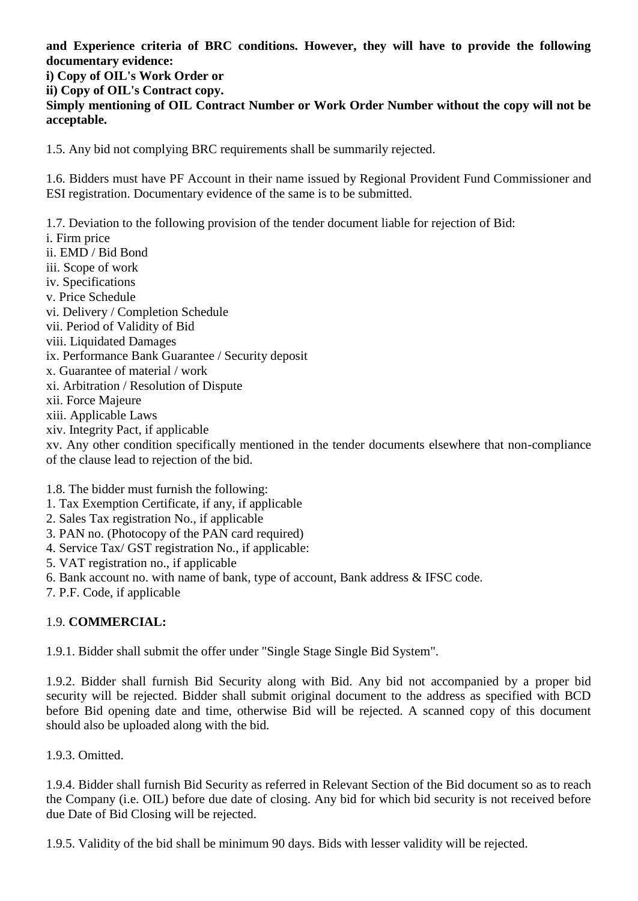**and Experience criteria of BRC conditions. However, they will have to provide the following documentary evidence: i) Copy of OIL's Work Order or ii) Copy of OIL's Contract copy.**

**Simply mentioning of OIL Contract Number or Work Order Number without the copy will not be acceptable.**

1.5. Any bid not complying BRC requirements shall be summarily rejected.

1.6. Bidders must have PF Account in their name issued by Regional Provident Fund Commissioner and ESI registration. Documentary evidence of the same is to be submitted.

1.7. Deviation to the following provision of the tender document liable for rejection of Bid:

- i. Firm price ii. EMD / Bid Bond iii. Scope of work iv. Specifications v. Price Schedule vi. Delivery / Completion Schedule vii. Period of Validity of Bid viii. Liquidated Damages ix. Performance Bank Guarantee / Security deposit x. Guarantee of material / work xi. Arbitration / Resolution of Dispute xii. Force Majeure xiii. Applicable Laws
- xiv. Integrity Pact, if applicable

xv. Any other condition specifically mentioned in the tender documents elsewhere that non-compliance of the clause lead to rejection of the bid.

1.8. The bidder must furnish the following:

- 1. Tax Exemption Certificate, if any, if applicable
- 2. Sales Tax registration No., if applicable
- 3. PAN no. (Photocopy of the PAN card required)
- 4. Service Tax/ GST registration No., if applicable:
- 5. VAT registration no., if applicable
- 6. Bank account no. with name of bank, type of account, Bank address & IFSC code.
- 7. P.F. Code, if applicable

# 1.9. **COMMERCIAL:**

1.9.1. Bidder shall submit the offer under "Single Stage Single Bid System".

1.9.2. Bidder shall furnish Bid Security along with Bid. Any bid not accompanied by a proper bid security will be rejected. Bidder shall submit original document to the address as specified with BCD before Bid opening date and time, otherwise Bid will be rejected. A scanned copy of this document should also be uploaded along with the bid.

1.9.3. Omitted.

1.9.4. Bidder shall furnish Bid Security as referred in Relevant Section of the Bid document so as to reach the Company (i.e. OIL) before due date of closing. Any bid for which bid security is not received before due Date of Bid Closing will be rejected.

1.9.5. Validity of the bid shall be minimum 90 days. Bids with lesser validity will be rejected.